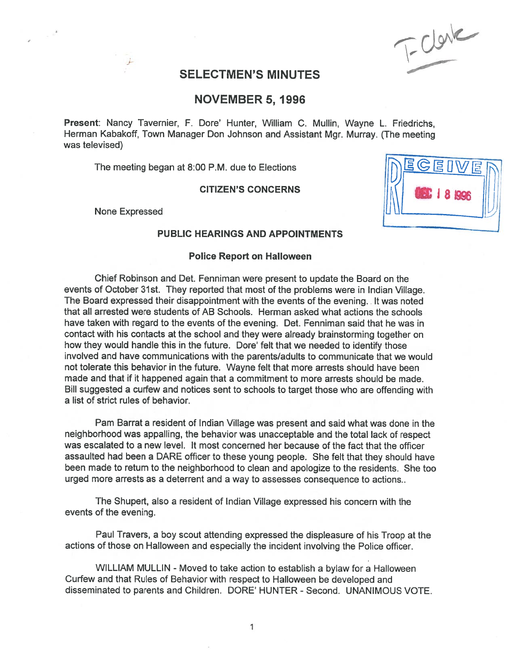$F = \frac{C}{2}$ 

(C

# SELECTMEN'S MINUTES

# NOVEMBER 5, 1996

Present: Nancy Tavernier, F. Dore' Hunter, William C. Mullin, Wayne L. Friedrichs, Herman Kabakoff, Town Manager Don Johnson and Assistant Mgr. Murray. (The meeting was televised)

The meeting began at 8:00 P.M. due to Elections

CITIZEN'S CONCERNS

None Expressed

## PUBLIC HEARINGS AND APPOINTMENTS

### Police Report on Halloween

Chief Robinson and Det. Fenniman were presen<sup>t</sup> to update the Board on the events of October 31st. They reported that most of the problems were in Indian Village. The Board expressed their disappointment with the events of the evening. It was noted that all arrested were students of AB Schools. Herman asked what actions the schools have taken with regard to the events of the evening. Det. Fenniman said that he was in contact with his contacts at the school and they were already brainstorming together on how they would handle this in the future. Dore' felt that we needed to identify those involved and have communications with the parents/adults to communicate that we would not tolerate this behavior in the future. Wayne felt that more arrests should have been made and that if it happened again that <sup>a</sup> commitment to more arrests should be made. Bill suggested <sup>a</sup> curfew and notices sent to schools to target those who are offending with <sup>a</sup> list of strict rules of behavior.

Pam Barrat <sup>a</sup> resident of Indian Village was presen<sup>t</sup> and said what was done in the neighborhood was appalling, the behavior was unacceptable and the total lack of respec<sup>t</sup> was escalated to <sup>a</sup> new level. It most concerned her because of the fact that the officer assaulted had been <sup>a</sup> DARE officer to these young people. She felt that they should have been made to return to the neighborhood to clean and apologize to the residents. She too urged more arrests as <sup>a</sup> deterrent and <sup>a</sup> way to assesses consequence to actions..

The Shupert, also <sup>a</sup> resident of Indian Village expressed his concern with the events of the evening.

Paul Travers, <sup>a</sup> boy scout attending expressed the displeasure of his Troop at the actions of those on Halloween and especially the incident involving the Police officer.

WILLIAM MULLIN - Moved to take action to establish <sup>a</sup> bylaw for <sup>a</sup> Halloween Curfew and that Rules of Behavior with respec<sup>t</sup> to Halloween be developed and disseminated to parents and Children. DORE' HUNTER - Second. UNANIMOUS VOTE.

1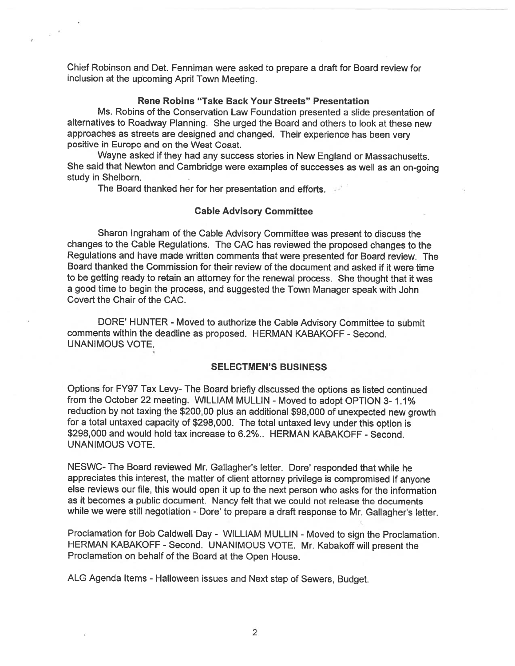Chief Robinson and Det. Fenniman were asked to prepare <sup>a</sup> draft for Board review for inclusion at the upcoming April Town Meeting.

### Rene Robins "Take Back Your Streets" Presentation

Ms. Robins of the Conservation Law Foundation presented <sup>a</sup> slide presentation of alternatives to Roadway Planning. She urged the Board and others to look at these new approaches as streets are designed and changed. Their experience has been very positive in Europe and on the West Coast.

Wayne asked if they had any success stories in New England or Massachusetts. She said that Newton and Cambridge were examples of successes as well as an on-going study in Shelborn.

The Board thanked her for her presentation and efforts.

 $\leq -k$ 

#### Cable Advisory Committee

Sharon lngraham of the Cable Advisory Committee was presen<sup>t</sup> to discuss the changes to the Cable Regulations. The CAC has reviewed the propose<sup>d</sup> changes to the Regulations and have made written comments that were presented for Board review. The Board thanked the Commission for their review of the document and asked if it were time to be getting ready to retain an attorney for the renewal process. She thought that it was <sup>a</sup> goo<sup>d</sup> time to begin the process, and suggested the Town Manager spea<sup>k</sup> with John Covert the Chair of the CAC.

DORE' HUNTER - Moved to authorize the Cable Advisory Committee to submit comments within the deadline as proposed. HERMAN KABAKOFF - Second. UNANIMOUS VOTE.

### SELECTMEN'S BUSINESS

Options for FY97 Tax Levy- The Board briefly discussed the options as listed continued from the October22 meeting. WILLIAM MULLIN - Moved to adopt OPTION 3- 1.1% reduction by not taxing the \$200,00 <sup>p</sup>lus an additional \$98,000 of unexpected new growth for <sup>a</sup> total untaxed capacity of \$298,000. The total untaxed levy under this option is \$298,000 and would hold tax increase to 6.2%.. HERMAN KABAKOFF - Second. UNANIMOUS VOTE.

NESWC- The Board reviewed Mr. Gallagher's letter. Dore' responded that while he appreciates this interest, the matter of client attorney privilege is compromised if anyone else reviews our file, this would open it up to the next person who asks for the information as it becomes <sup>a</sup> public document. Nancy felt that we could not release the documents while we were still negotiation - Dore' to prepare a draft response to Mr. Gallagher's letter.

Proclamation for Bob Caldwell Day - WILLIAM MULLIN - Moved to sign the Proclamation. HERMAN KABAKOFF - Second. UNANIMOUS VOTE. Mr. Kabakoff will presen<sup>t</sup> the Proclamation on behalf of the Board at the Open House.

ALG Agenda Items - Halloween issues and Next step of Sewers, Budget.

2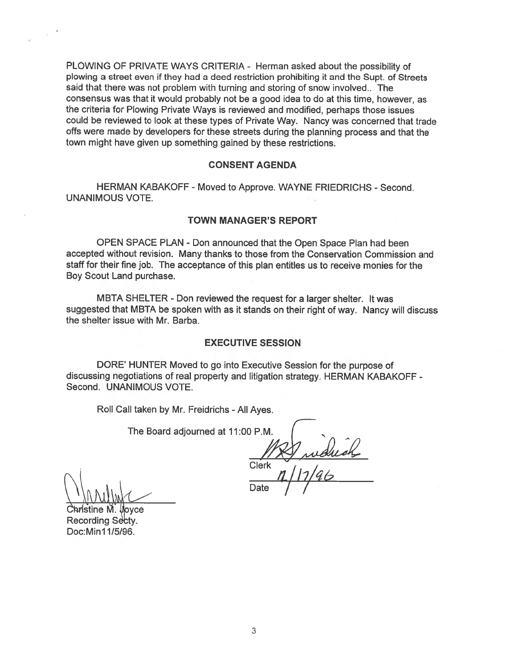PLOWING OF PRIVATE WAYS CRITERIA - Herman asked about the possibility of plowing a street even if they had a deed restriction prohibiting it and the Supt. of Streets said that there was not problem with turning and storing of snow involved. The consensus was that it would probably not be a good idea to do at this time, however, as the criteria for Plowing Private Ways is reviewed and modified, perhaps those issues could be reviewed to look at these types of Private Way. Nancy was concerned that trade offs were made by developers for these streets during the planning process and that the town might have given up something gained by these restrictions.

### **CONSENT AGENDA**

HERMAN KABAKOFF - Moved to Approve. WAYNE FRIEDRICHS - Second. **UNANIMOUS VOTE.** 

### **TOWN MANAGER'S REPORT**

OPEN SPACE PLAN - Don announced that the Open Space Plan had been accepted without revision. Many thanks to those from the Conservation Commission and staff for their fine job. The acceptance of this plan entitles us to receive monies for the Boy Scout Land purchase.

MBTA SHELTER - Don reviewed the request for a larger shelter. It was suggested that MBTA be spoken with as it stands on their right of way. Nancy will discuss the shelter issue with Mr. Barba.

## **EXECUTIVE SESSION**

DORE' HUNTER Moved to go into Executive Session for the purpose of discussing negotiations of real property and litigation strategy. HERMAN KABAKOFF -Second. UNANIMOUS VOTE.

Roll Call taken by Mr. Freidrichs - All Ayes.

The Board adjourned at 11:00 P.M.

Quiduck

**Clerk** 

**vce** Recording Secty. Doc: Min11/5/96.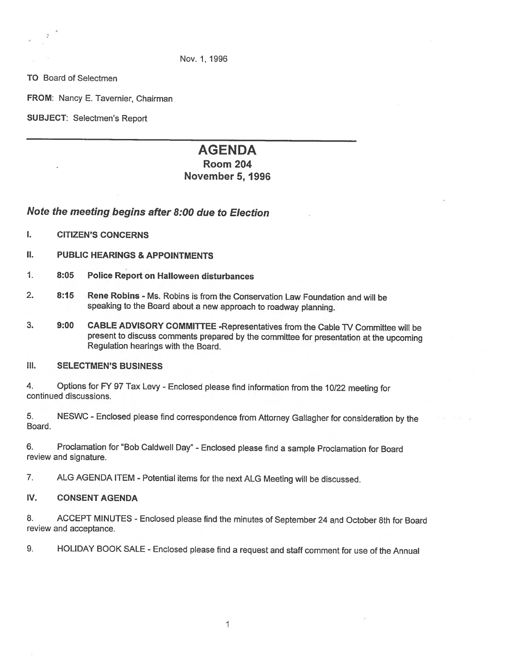Nov. 1, 1996

TO Board of Selectmen

FROM: Nancy E. Tavernier, Chairman

SUBJECT: Selectmen's Report

# AGENDA

# Room 204 November 5, 1996

# Note the meeting begins after 8:00 due to Election

- I. CITIZEN'S CONCERNS
- **II. PUBLIC HEARINGS & APPOINTMENTS**
- 1. 8:05 Police Report on Halloween disturbances
- 2. 8:15 Rene Robins Ms. Robins is from the Conservation Law Foundation and will be speaking to the Board about <sup>a</sup> new approach to roadway <sup>p</sup>lanning.
- 3. 9:00 CABLE ADVISORY COMMITTEE -Representatives from the Cable TV Committee will be present to discuss comments prepared by the committee for presentation at the upcoming Regulation hearings with the Board.

## Ill. SELECTMEN'S BUSINESS

4. Options for FY 97 Tax Levy - Enclosed please find information from the 10/22 meeting for continued discussions.

5. NESWC -Enclosed <sup>p</sup>lease find correspondence from Attorney Gallagher for consideration by the Board.

6. Proclamation for "Bob Caldwell Day" -Enclosed <sup>p</sup>lease find <sup>a</sup> sample Proclamation for Board review and signature.

7. ALG AGENDA ITEM - Potential items for the next ALG Meeting will be discussed.

## IV. CONSENT AGENDA

8. ACCEPT MINUTES - Enclosed please find the minutes of September 24 and October 8th for Board review and acceptance.

9. HOLIDAY BOOK SALE - Enclosed <sup>p</sup>lease find <sup>a</sup> request and staff comment for use of the Annual